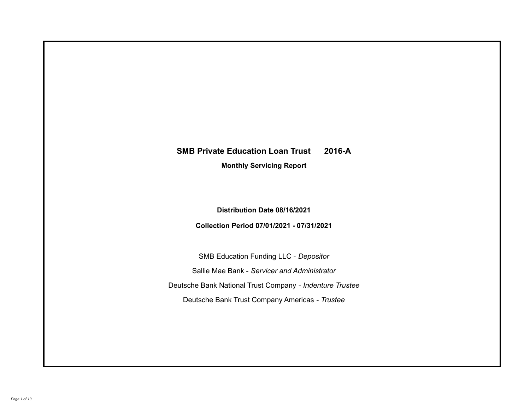# **SMB Private Education Loan Trust 2016-A**

**Monthly Servicing Report**

**Distribution Date 08/16/2021**

**Collection Period 07/01/2021 - 07/31/2021**

SMB Education Funding LLC - *Depositor* Sallie Mae Bank - *Servicer and Administrator* Deutsche Bank National Trust Company - *Indenture Trustee* Deutsche Bank Trust Company Americas - *Trustee*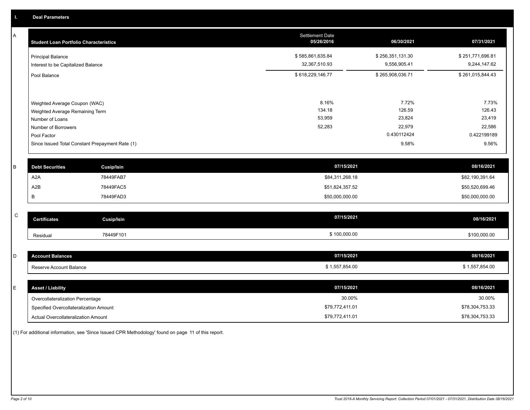A

| A            | <b>Student Loan Portfolio Characteristics</b> |                                                 | <b>Settlement Date</b><br>05/26/2016 | 06/30/2021       | 07/31/2021       |
|--------------|-----------------------------------------------|-------------------------------------------------|--------------------------------------|------------------|------------------|
|              | <b>Principal Balance</b>                      |                                                 | \$585,861,635.84                     | \$256,351,131.30 | \$251,771,696.81 |
|              | Interest to be Capitalized Balance            |                                                 | 32,367,510.93                        | 9,556,905.41     | 9,244,147.62     |
|              | Pool Balance                                  |                                                 | \$618,229,146.77                     | \$265,908,036.71 | \$261,015,844.43 |
|              | Weighted Average Coupon (WAC)                 |                                                 | 8.16%                                | 7.72%            | 7.73%            |
|              | Weighted Average Remaining Term               |                                                 | 134.18                               | 126.59           | 126.43           |
|              | Number of Loans                               |                                                 | 53,959                               | 23,824           | 23,419           |
|              | Number of Borrowers                           |                                                 | 52,283                               | 22,979           | 22,586           |
|              | Pool Factor                                   |                                                 |                                      | 0.430112424      | 0.422199189      |
|              |                                               | Since Issued Total Constant Prepayment Rate (1) |                                      | 9.58%            | 9.56%            |
|              |                                               |                                                 |                                      |                  |                  |
| B            | <b>Debt Securities</b>                        | <b>Cusip/Isin</b>                               | 07/15/2021                           |                  | 08/16/2021       |
|              | A <sub>2</sub> A                              | 78449FAB7                                       | \$84,311,268.18                      |                  | \$82,190,391.64  |
|              | A <sub>2</sub> B                              | 78449FAC5                                       | \$51,824,357.52                      |                  | \$50,520,699.46  |
|              | В                                             | 78449FAD3                                       | \$50,000,000.00                      |                  | \$50,000,000.00  |
|              |                                               |                                                 |                                      |                  |                  |
| $\mathsf{C}$ | <b>Certificates</b>                           | <b>Cusip/Isin</b>                               | 07/15/2021                           |                  | 08/16/2021       |
|              | Residual                                      | 78449F101                                       | \$100,000.00                         |                  | \$100,000.00     |
|              |                                               |                                                 |                                      |                  |                  |
| D            | <b>Account Balances</b>                       |                                                 | 07/15/2021                           |                  | 08/16/2021       |
|              | Reserve Account Balance                       |                                                 | \$1,557,854.00                       |                  | \$1,557,854.00   |
|              |                                               |                                                 |                                      |                  |                  |
| E            | <b>Asset / Liability</b>                      |                                                 | 07/15/2021                           |                  | 08/16/2021       |

Overcollateralization Percentage Actual Overcollateralization Amount \$79,772,411.01 Specified Overcollateralization Amount

(1) For additional information, see 'Since Issued CPR Methodology' found on page 11 of this report.

30.00% 30.00%

\$78,304,753.33 \$78,304,753.33

\$79,772,411.01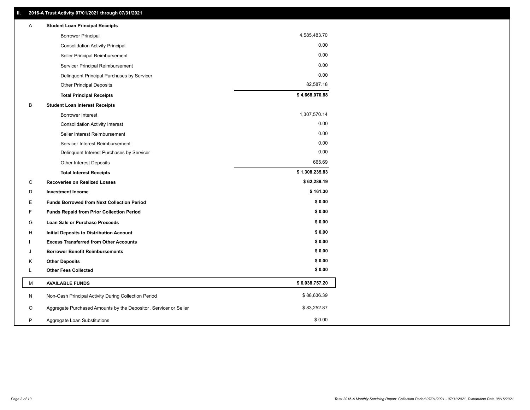| Α | <b>Student Loan Principal Receipts</b>                           |                |  |
|---|------------------------------------------------------------------|----------------|--|
|   | <b>Borrower Principal</b>                                        | 4,585,483.70   |  |
|   | <b>Consolidation Activity Principal</b>                          | 0.00           |  |
|   | Seller Principal Reimbursement                                   | 0.00           |  |
|   | Servicer Principal Reimbursement                                 | 0.00           |  |
|   | Delinquent Principal Purchases by Servicer                       | 0.00           |  |
|   | <b>Other Principal Deposits</b>                                  | 82,587.18      |  |
|   | <b>Total Principal Receipts</b>                                  | \$4,668,070.88 |  |
| В | <b>Student Loan Interest Receipts</b>                            |                |  |
|   | <b>Borrower Interest</b>                                         | 1,307,570.14   |  |
|   | <b>Consolidation Activity Interest</b>                           | 0.00           |  |
|   | Seller Interest Reimbursement                                    | 0.00           |  |
|   | Servicer Interest Reimbursement                                  | 0.00           |  |
|   | Delinquent Interest Purchases by Servicer                        | 0.00           |  |
|   | Other Interest Deposits                                          | 665.69         |  |
|   | <b>Total Interest Receipts</b>                                   | \$1,308,235.83 |  |
| C | <b>Recoveries on Realized Losses</b>                             | \$62,289.19    |  |
| D | <b>Investment Income</b>                                         | \$161.30       |  |
| Е | <b>Funds Borrowed from Next Collection Period</b>                | \$0.00         |  |
| F | <b>Funds Repaid from Prior Collection Period</b>                 | \$0.00         |  |
| G | Loan Sale or Purchase Proceeds                                   | \$0.00         |  |
| н | Initial Deposits to Distribution Account                         | \$0.00         |  |
|   | <b>Excess Transferred from Other Accounts</b>                    | \$0.00         |  |
| J | <b>Borrower Benefit Reimbursements</b>                           | \$0.00         |  |
| Κ | <b>Other Deposits</b>                                            | \$0.00         |  |
| L | <b>Other Fees Collected</b>                                      | \$0.00         |  |
| М | <b>AVAILABLE FUNDS</b>                                           | \$6,038,757.20 |  |
| N | Non-Cash Principal Activity During Collection Period             | \$88,636.39    |  |
| O | Aggregate Purchased Amounts by the Depositor, Servicer or Seller | \$83,252.87    |  |
| P | Aggregate Loan Substitutions                                     | \$0.00         |  |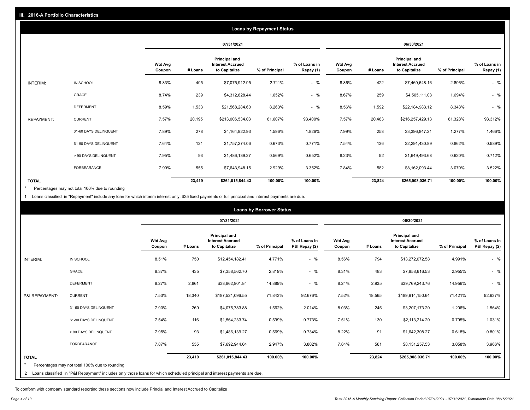|                   |                       |                          | <b>Loans by Repayment Status</b> |                                                           |                |                            |                          |         |                                                           |                |                            |
|-------------------|-----------------------|--------------------------|----------------------------------|-----------------------------------------------------------|----------------|----------------------------|--------------------------|---------|-----------------------------------------------------------|----------------|----------------------------|
|                   |                       |                          | 07/31/2021                       |                                                           |                |                            | 06/30/2021               |         |                                                           |                |                            |
|                   |                       | <b>Wtd Avg</b><br>Coupon | # Loans                          | Principal and<br><b>Interest Accrued</b><br>to Capitalize | % of Principal | % of Loans in<br>Repay (1) | <b>Wtd Avg</b><br>Coupon | # Loans | Principal and<br><b>Interest Accrued</b><br>to Capitalize | % of Principal | % of Loans in<br>Repay (1) |
| INTERIM:          | IN SCHOOL             | 8.83%                    | 405                              | \$7,075,912.95                                            | 2.711%         | $-$ %                      | 8.86%                    | 422     | \$7,460,648.16                                            | 2.806%         | $-$ %                      |
|                   | GRACE                 | 8.74%                    | 239                              | \$4,312,828.44                                            | 1.652%         | $-$ %                      | 8.67%                    | 259     | \$4,505,111.08                                            | 1.694%         | $-$ %                      |
|                   | <b>DEFERMENT</b>      | 8.59%                    | 1,533                            | \$21,568,284.60                                           | 8.263%         | $-$ %                      | 8.56%                    | 1,592   | \$22,184,983.12                                           | 8.343%         | $-$ %                      |
| <b>REPAYMENT:</b> | <b>CURRENT</b>        | 7.57%                    | 20,195                           | \$213,006,534.03                                          | 81.607%        | 93.400%                    | 7.57%                    | 20,483  | \$216,257,429.13                                          | 81.328%        | 93.312%                    |
|                   | 31-60 DAYS DELINQUENT | 7.89%                    | 278                              | \$4,164,922.93                                            | 1.596%         | 1.826%                     | 7.99%                    | 258     | \$3,396,847.21                                            | 1.277%         | 1.466%                     |
|                   | 61-90 DAYS DELINQUENT | 7.64%                    | 121                              | \$1,757,274.06                                            | 0.673%         | 0.771%                     | 7.54%                    | 136     | \$2,291,430.89                                            | 0.862%         | 0.989%                     |
|                   | > 90 DAYS DELINQUENT  | 7.95%                    | 93                               | \$1,486,139.27                                            | 0.569%         | 0.652%                     | 8.23%                    | 92      | \$1,649,493.68                                            | 0.620%         | 0.712%                     |
|                   | FORBEARANCE           | 7.90%                    | 555                              | \$7,643,948.15                                            | 2.929%         | 3.352%                     | 7.84%                    | 582     | \$8,162,093.44                                            | 3.070%         | 3.522%                     |
| <b>TOTAL</b>      |                       |                          | 23,419                           | \$261,015,844.43                                          | 100.00%        | 100.00%                    |                          | 23,824  | \$265,908,036.71                                          | 100.00%        | 100.00%                    |

Percentages may not total 100% due to rounding \*

1 Loans classified in "Repayment" include any loan for which interim interest only, \$25 fixed payments or full principal and interest payments are due.

|                 |                                                                                                                              |                          | <b>Loans by Borrower Status</b> |                                                           |                |                                |                          |         |                                                                  |                |                                |
|-----------------|------------------------------------------------------------------------------------------------------------------------------|--------------------------|---------------------------------|-----------------------------------------------------------|----------------|--------------------------------|--------------------------|---------|------------------------------------------------------------------|----------------|--------------------------------|
|                 |                                                                                                                              |                          | 07/31/2021                      |                                                           |                | 06/30/2021                     |                          |         |                                                                  |                |                                |
|                 |                                                                                                                              | <b>Wtd Avg</b><br>Coupon | # Loans                         | Principal and<br><b>Interest Accrued</b><br>to Capitalize | % of Principal | % of Loans in<br>P&I Repay (2) | <b>Wtd Avg</b><br>Coupon | # Loans | <b>Principal and</b><br><b>Interest Accrued</b><br>to Capitalize | % of Principal | % of Loans in<br>P&I Repay (2) |
| <b>INTERIM:</b> | IN SCHOOL                                                                                                                    | 8.51%                    | 750                             | \$12,454,182.41                                           | 4.771%         | $-$ %                          | 8.56%                    | 794     | \$13,272,072.58                                                  | 4.991%         | $-$ %                          |
|                 | <b>GRACE</b>                                                                                                                 | 8.37%                    | 435                             | \$7,358,562.70                                            | 2.819%         | $-$ %                          | 8.31%                    | 483     | \$7,858,616.53                                                   | 2.955%         | $-$ %                          |
|                 | <b>DEFERMENT</b>                                                                                                             | 8.27%                    | 2,861                           | \$38,862,901.84                                           | 14.889%        | $-$ %                          | 8.24%                    | 2,935   | \$39,769,243.76                                                  | 14.956%        | $-$ %                          |
| P&I REPAYMENT:  | <b>CURRENT</b>                                                                                                               | 7.53%                    | 18,340                          | \$187,521,096.55                                          | 71.843%        | 92.676%                        | 7.52%                    | 18,565  | \$189,914,150.64                                                 | 71.421%        | 92.637%                        |
|                 | 31-60 DAYS DELINQUENT                                                                                                        | 7.90%                    | 269                             | \$4,075,783.88                                            | 1.562%         | 2.014%                         | 8.03%                    | 245     | \$3,207,173.20                                                   | 1.206%         | 1.564%                         |
|                 | 61-90 DAYS DELINQUENT                                                                                                        | 7.54%                    | 116                             | \$1,564,233.74                                            | 0.599%         | 0.773%                         | 7.51%                    | 130     | \$2,113,214.20                                                   | 0.795%         | 1.031%                         |
|                 | > 90 DAYS DELINQUENT                                                                                                         | 7.95%                    | 93                              | \$1,486,139.27                                            | 0.569%         | 0.734%                         | 8.22%                    | 91      | \$1,642,308.27                                                   | 0.618%         | 0.801%                         |
|                 | <b>FORBEARANCE</b>                                                                                                           | 7.87%                    | 555                             | \$7,692,944.04                                            | 2.947%         | 3.802%                         | 7.84%                    | 581     | \$8,131,257.53                                                   | 3.058%         | 3.966%                         |
| <b>TOTAL</b>    |                                                                                                                              |                          | 23,419                          | \$261,015,844.43                                          | 100.00%        | 100.00%                        |                          | 23,824  | \$265,908,036.71                                                 | 100.00%        | 100.00%                        |
|                 | Percentages may not total 100% due to rounding                                                                               |                          |                                 |                                                           |                |                                |                          |         |                                                                  |                |                                |
|                 | 2 Loans classified in "P&I Repayment" includes only those loans for which scheduled principal and interest payments are due. |                          |                                 |                                                           |                |                                |                          |         |                                                                  |                |                                |

To conform with company standard reporting these sections now include Princial and Interest Accrued to Capitalize .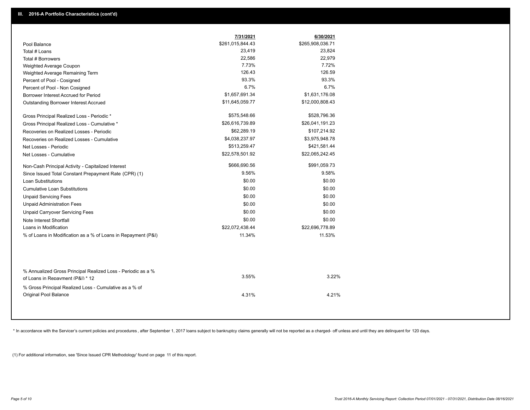|                                                                                                  | 7/31/2021        | 6/30/2021        |  |
|--------------------------------------------------------------------------------------------------|------------------|------------------|--|
| Pool Balance                                                                                     | \$261,015,844.43 | \$265,908,036.71 |  |
| Total # Loans                                                                                    | 23,419           | 23,824           |  |
| Total # Borrowers                                                                                | 22,586           | 22,979           |  |
| Weighted Average Coupon                                                                          | 7.73%            | 7.72%            |  |
| Weighted Average Remaining Term                                                                  | 126.43           | 126.59           |  |
| Percent of Pool - Cosigned                                                                       | 93.3%            | 93.3%            |  |
| Percent of Pool - Non Cosigned                                                                   | 6.7%             | 6.7%             |  |
| Borrower Interest Accrued for Period                                                             | \$1,657,691.34   | \$1,631,176.08   |  |
| Outstanding Borrower Interest Accrued                                                            | \$11,645,059.77  | \$12,000,808.43  |  |
| Gross Principal Realized Loss - Periodic *                                                       | \$575,548.66     | \$528,796.36     |  |
| Gross Principal Realized Loss - Cumulative *                                                     | \$26,616,739.89  | \$26,041,191.23  |  |
| Recoveries on Realized Losses - Periodic                                                         | \$62,289.19      | \$107,214.92     |  |
| Recoveries on Realized Losses - Cumulative                                                       | \$4,038,237.97   | \$3,975,948.78   |  |
| Net Losses - Periodic                                                                            | \$513,259.47     | \$421,581.44     |  |
| Net Losses - Cumulative                                                                          | \$22,578,501.92  | \$22,065,242.45  |  |
| Non-Cash Principal Activity - Capitalized Interest                                               | \$666,690.56     | \$991,059.73     |  |
| Since Issued Total Constant Prepayment Rate (CPR) (1)                                            | 9.56%            | 9.58%            |  |
| <b>Loan Substitutions</b>                                                                        | \$0.00           | \$0.00           |  |
| <b>Cumulative Loan Substitutions</b>                                                             | \$0.00           | \$0.00           |  |
| <b>Unpaid Servicing Fees</b>                                                                     | \$0.00           | \$0.00           |  |
| <b>Unpaid Administration Fees</b>                                                                | \$0.00           | \$0.00           |  |
| <b>Unpaid Carryover Servicing Fees</b>                                                           | \$0.00           | \$0.00           |  |
| Note Interest Shortfall                                                                          | \$0.00           | \$0.00           |  |
| Loans in Modification                                                                            | \$22,072,438.44  | \$22,696,778.89  |  |
| % of Loans in Modification as a % of Loans in Repayment (P&I)                                    | 11.34%           | 11.53%           |  |
|                                                                                                  |                  |                  |  |
| % Annualized Gross Principal Realized Loss - Periodic as a %<br>of Loans in Repayment (P&I) * 12 | 3.55%            | 3.22%            |  |
| % Gross Principal Realized Loss - Cumulative as a % of                                           |                  |                  |  |
| Original Pool Balance                                                                            | 4.31%            | 4.21%            |  |

\* In accordance with the Servicer's current policies and procedures, after September 1, 2017 loans subject to bankruptcy claims generally will not be reported as a charged- off unless and until they are delinquent for 120

(1) For additional information, see 'Since Issued CPR Methodology' found on page 11 of this report.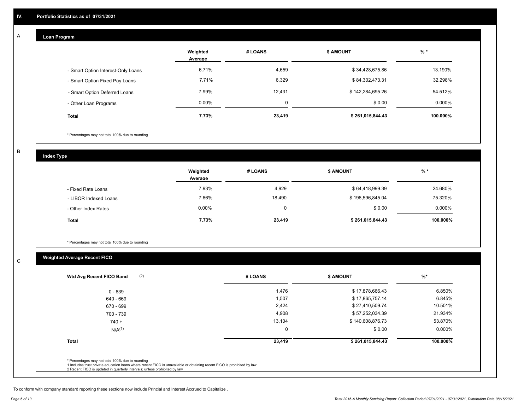### **Loan Program**

A

|                                    | Weighted<br>Average | # LOANS | <b>S AMOUNT</b>  | $%$ *    |
|------------------------------------|---------------------|---------|------------------|----------|
| - Smart Option Interest-Only Loans | 6.71%               | 4,659   | \$34,428,675.86  | 13.190%  |
| - Smart Option Fixed Pay Loans     | 7.71%               | 6,329   | \$84,302,473.31  | 32.298%  |
| - Smart Option Deferred Loans      | 7.99%               | 12,431  | \$142,284,695.26 | 54.512%  |
| - Other Loan Programs              | $0.00\%$            | 0       | \$0.00           | 0.000%   |
| <b>Total</b>                       | 7.73%               | 23,419  | \$261,015,844.43 | 100.000% |

\* Percentages may not total 100% due to rounding

B

C

**Index Type**

|                       | Weighted<br>Average | # LOANS | \$ AMOUNT        | % *       |
|-----------------------|---------------------|---------|------------------|-----------|
| - Fixed Rate Loans    | 7.93%               | 4,929   | \$64,418,999.39  | 24.680%   |
| - LIBOR Indexed Loans | 7.66%               | 18,490  | \$196,596,845.04 | 75.320%   |
| - Other Index Rates   | $0.00\%$            | 0       | \$0.00           | $0.000\%$ |
| <b>Total</b>          | 7.73%               | 23,419  | \$261,015,844.43 | 100.000%  |

\* Percentages may not total 100% due to rounding

## **Weighted Average Recent FICO**

| $0 - 639$    | 1,476  | \$17,878,666.43  | 6.850%    |
|--------------|--------|------------------|-----------|
| 640 - 669    | 1,507  | \$17,865,757.14  | 6.845%    |
| 670 - 699    | 2,424  | \$27,410,509.74  | 10.501%   |
| 700 - 739    | 4,908  | \$57,252,034.39  | 21.934%   |
| $740 +$      | 13,104 | \$140,608,876.73 | 53.870%   |
| $N/A^{(1)}$  | 0      | \$0.00           | $0.000\%$ |
| <b>Total</b> | 23,419 | \$261,015,844.43 | 100.000%  |
|              |        |                  |           |

To conform with company standard reporting these sections now include Princial and Interest Accrued to Capitalize .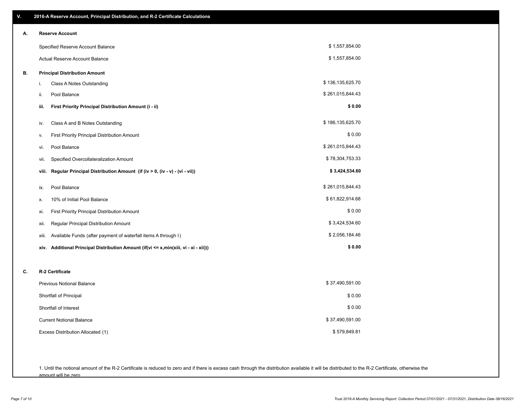| V. | 2016-A Reserve Account, Principal Distribution, and R-2 Certificate Calculations        |                  |
|----|-----------------------------------------------------------------------------------------|------------------|
| А. | <b>Reserve Account</b>                                                                  |                  |
|    | Specified Reserve Account Balance                                                       | \$1,557,854.00   |
|    | Actual Reserve Account Balance                                                          | \$1,557,854.00   |
| В. | <b>Principal Distribution Amount</b>                                                    |                  |
|    | Class A Notes Outstanding<br>i.                                                         | \$136,135,625.70 |
|    | Pool Balance<br>ii.                                                                     | \$261,015,844.43 |
|    | First Priority Principal Distribution Amount (i - ii)<br>iii.                           | \$0.00           |
|    | Class A and B Notes Outstanding<br>iv.                                                  | \$186,135,625.70 |
|    | First Priority Principal Distribution Amount<br>۷.                                      | \$0.00           |
|    | Pool Balance<br>vi.                                                                     | \$261,015,844.43 |
|    | Specified Overcollateralization Amount<br>vii.                                          | \$78,304,753.33  |
|    | Regular Principal Distribution Amount (if (iv > 0, (iv - v) - (vi - vii))<br>viii.      | \$3,424,534.60   |
|    | Pool Balance<br>ix.                                                                     | \$261,015,844.43 |
|    | 10% of Initial Pool Balance<br>х.                                                       | \$61,822,914.68  |
|    | First Priority Principal Distribution Amount<br>xi.                                     | \$0.00           |
|    | Regular Principal Distribution Amount<br>xii.                                           | \$3,424,534.60   |
|    | Available Funds (after payment of waterfall items A through I)<br>xiii.                 | \$2,056,184.46   |
|    | Additional Principal Distribution Amount (if(vi <= x,min(xiii, vi - xi - xii)))<br>xiv. | \$0.00           |
| C. | R-2 Certificate                                                                         |                  |
|    | Previous Notional Balance                                                               | \$37,490,591.00  |
|    | Shortfall of Principal                                                                  | \$0.00           |
|    | Shortfall of Interest                                                                   | \$0.00           |
|    | <b>Current Notional Balance</b>                                                         | \$37,490,591.00  |
|    | Excess Distribution Allocated (1)                                                       | \$579,849.81     |
|    |                                                                                         |                  |
|    |                                                                                         |                  |

1. Until the notional amount of the R-2 Certificate is reduced to zero and if there is excess cash through the distribution available it will be distributed to the R-2 Certificate, otherwise the amount will be zero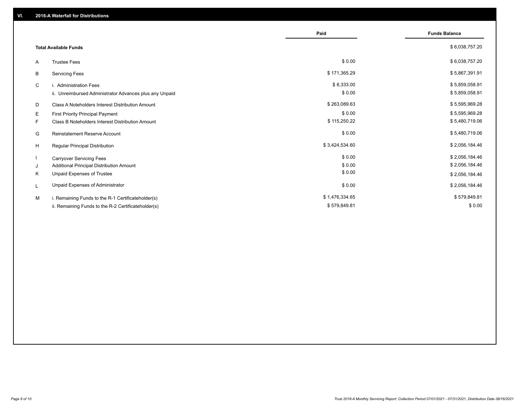|                                                         | Paid           | <b>Funds Balance</b> |
|---------------------------------------------------------|----------------|----------------------|
| <b>Total Available Funds</b>                            |                | \$6,038,757.20       |
| <b>Trustee Fees</b><br>A                                | \$0.00         | \$6,038,757.20       |
| <b>Servicing Fees</b><br>В                              | \$171,365.29   | \$5,867,391.91       |
| C<br>i. Administration Fees                             | \$8,333.00     | \$5,859,058.91       |
| ii. Unreimbursed Administrator Advances plus any Unpaid | \$0.00         | \$5,859,058.91       |
| Class A Noteholders Interest Distribution Amount<br>D   | \$263,089.63   | \$5,595,969.28       |
| Е<br>First Priority Principal Payment                   | \$0.00         | \$5,595,969.28       |
| Class B Noteholders Interest Distribution Amount<br>F.  | \$115,250.22   | \$5,480,719.06       |
| <b>Reinstatement Reserve Account</b><br>G               | \$0.00         | \$5,480,719.06       |
| H<br>Regular Principal Distribution                     | \$3,424,534.60 | \$2,056,184.46       |
| <b>Carryover Servicing Fees</b>                         | \$0.00         | \$2,056,184.46       |
| Additional Principal Distribution Amount<br>J           | \$0.00         | \$2,056,184.46       |
| Unpaid Expenses of Trustee<br>Κ                         | \$0.00         | \$2,056,184.46       |
| Unpaid Expenses of Administrator<br>L                   | \$0.00         | \$2,056,184.46       |
| i. Remaining Funds to the R-1 Certificateholder(s)<br>м | \$1,476,334.65 | \$579,849.81         |
| ii. Remaining Funds to the R-2 Certificateholder(s)     | \$579,849.81   | \$0.00               |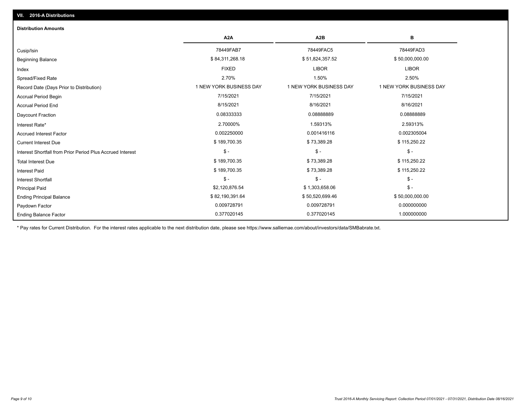| <b>Distribution Amounts</b>                                |                         |                         |                         |
|------------------------------------------------------------|-------------------------|-------------------------|-------------------------|
|                                                            | A <sub>2</sub> A        | A <sub>2</sub> B        | в                       |
| Cusip/Isin                                                 | 78449FAB7               | 78449FAC5               | 78449FAD3               |
| <b>Beginning Balance</b>                                   | \$84,311,268.18         | \$51,824,357.52         | \$50,000,000.00         |
| Index                                                      | <b>FIXED</b>            | <b>LIBOR</b>            | <b>LIBOR</b>            |
| Spread/Fixed Rate                                          | 2.70%                   | 1.50%                   | 2.50%                   |
| Record Date (Days Prior to Distribution)                   | 1 NEW YORK BUSINESS DAY | 1 NEW YORK BUSINESS DAY | 1 NEW YORK BUSINESS DAY |
| <b>Accrual Period Begin</b>                                | 7/15/2021               | 7/15/2021               | 7/15/2021               |
| <b>Accrual Period End</b>                                  | 8/15/2021               | 8/16/2021               | 8/16/2021               |
| <b>Daycount Fraction</b>                                   | 0.08333333              | 0.08888889              | 0.08888889              |
| Interest Rate*                                             | 2.70000%                | 1.59313%                | 2.59313%                |
| <b>Accrued Interest Factor</b>                             | 0.002250000             | 0.001416116             | 0.002305004             |
| <b>Current Interest Due</b>                                | \$189,700.35            | \$73,389.28             | \$115,250.22            |
| Interest Shortfall from Prior Period Plus Accrued Interest | $\mathsf{\$}$ -         | $\frac{1}{2}$           | $\mathsf{\$}$ -         |
| <b>Total Interest Due</b>                                  | \$189,700.35            | \$73,389.28             | \$115,250.22            |
| <b>Interest Paid</b>                                       | \$189,700.35            | \$73,389.28             | \$115,250.22            |
| Interest Shortfall                                         | $\frac{1}{2}$           | $$ -$                   | $\mathsf{\$}$ -         |
| <b>Principal Paid</b>                                      | \$2,120,876.54          | \$1,303,658.06          | $\mathsf{\$}$ -         |
| <b>Ending Principal Balance</b>                            | \$82,190,391.64         | \$50,520,699.46         | \$50,000,000.00         |
| Paydown Factor                                             | 0.009728791             | 0.009728791             | 0.000000000             |
| <b>Ending Balance Factor</b>                               | 0.377020145             | 0.377020145             | 1.000000000             |

\* Pay rates for Current Distribution. For the interest rates applicable to the next distribution date, please see https://www.salliemae.com/about/investors/data/SMBabrate.txt.

**VII. 2016-A Distributions**